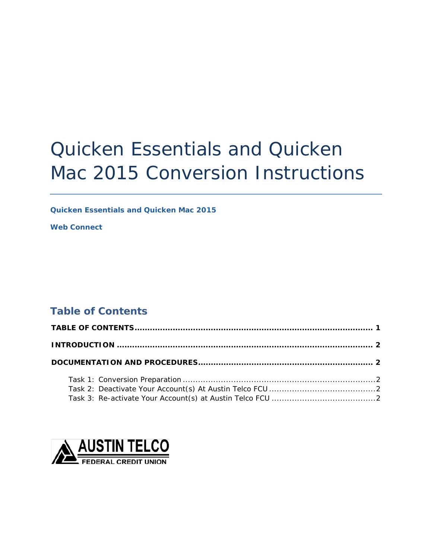# Quicken Essentials and Quicken Mac 2015 Conversion Instructions

*Quicken Essentials and Quicken Mac 2015* 

*Web Connect* 

# <span id="page-0-0"></span>**Table of Contents**

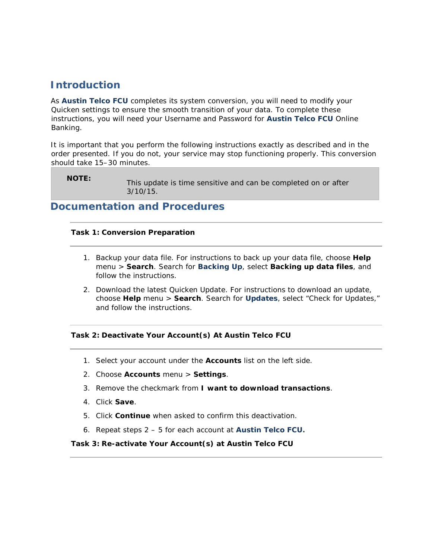# <span id="page-1-0"></span>**Introduction**

As *Austin Telco FCU* completes its system conversion, you will need to modify your Quicken settings to ensure the smooth transition of your data. To complete these instructions, you will need your Username and Password for *Austin Telco FCU* Online Banking.

It is important that you perform the following instructions exactly as described and in the order presented. If you do not, your service may stop functioning properly. This conversion should take 15–30 minutes.

**NOTE:** This update is time sensitive and can be completed on or after 3/10/15.

# <span id="page-1-2"></span><span id="page-1-1"></span>**Documentation and Procedures**

### **Task 1: Conversion Preparation**

- 1. Backup your data file. For instructions to back up your data file, choose **Help** menu > **Search**. Search for *Backing Up*, select **Backing up data files**, and follow the instructions.
- 2. Download the latest Quicken Update. For instructions to download an update, choose **Help** menu > **Search**. Search for *Updates*, select "Check for Updates," and follow the instructions.

### <span id="page-1-3"></span>**Task 2: Deactivate Your Account(s) At Austin Telco FCU**

- 1. Select your account under the **Accounts** list on the left side.
- 2. Choose **Accounts** menu > **Settings**.
- 3. Remove the checkmark from **I want to download transactions**.
- 4. Click **Save**.
- 5. Click **Continue** when asked to confirm this deactivation.
- 6. Repeat steps 2 5 for each account at *Austin Telco FCU.*

#### <span id="page-1-4"></span>**Task 3: Re-activate Your Account(s) at Austin Telco FCU**